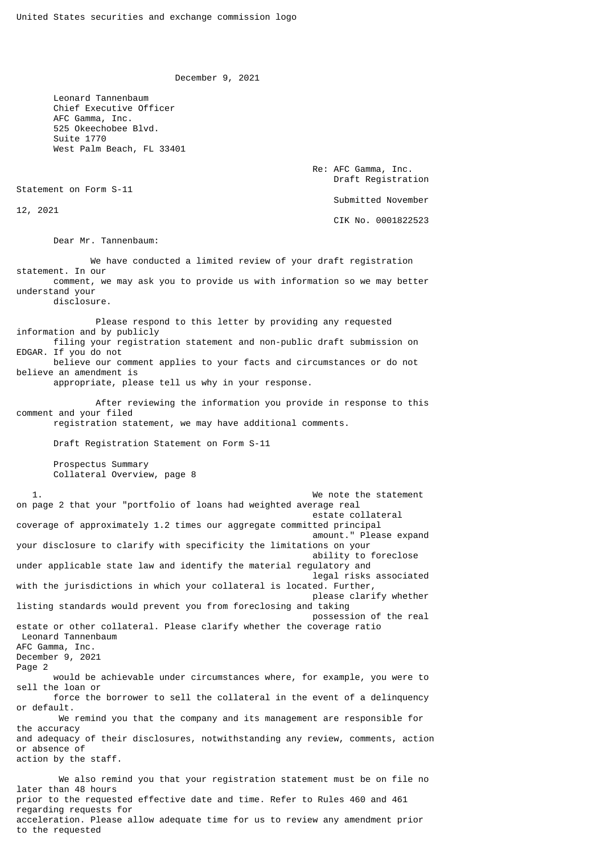December 9, 2021

 Leonard Tannenbaum Chief Executive Officer AFC Gamma, Inc. 525 Okeechobee Blvd. Suite 1770 West Palm Beach, FL 33401

> Re: AFC Gamma, Inc. Draft Registration Submitted November

Statement on Form S-11

12, 2021

CIK No. 0001822523

Dear Mr. Tannenbaum:

 We have conducted a limited review of your draft registration statement. In our comment, we may ask you to provide us with information so we may better understand your disclosure. Please respond to this letter by providing any requested information and by publicly

 filing your registration statement and non-public draft submission on EDGAR. If you do not believe our comment applies to your facts and circumstances or do not believe an amendment is

appropriate, please tell us why in your response.

 After reviewing the information you provide in response to this comment and your filed

1. We note the statement

registration statement, we may have additional comments.

Draft Registration Statement on Form S-11

 Prospectus Summary Collateral Overview, page 8

on page 2 that your "portfolio of loans had weighted average real estate collateral coverage of approximately 1.2 times our aggregate committed principal amount." Please expand your disclosure to clarify with specificity the limitations on your ability to foreclose under applicable state law and identify the material regulatory and legal risks associated with the jurisdictions in which your collateral is located. Further, please clarify whether listing standards would prevent you from foreclosing and taking possession of the real estate or other collateral. Please clarify whether the coverage ratio Leonard Tannenbaum AFC Gamma, Inc. December 9, 2021 Page 2 would be achievable under circumstances where, for example, you were to sell the loan or force the borrower to sell the collateral in the event of a delinquency or default. We remind you that the company and its management are responsible for the accuracy and adequacy of their disclosures, notwithstanding any review, comments, action or absence of action by the staff. We also remind you that your registration statement must be on file no

later than 48 hours prior to the requested effective date and time. Refer to Rules 460 and 461 regarding requests for acceleration. Please allow adequate time for us to review any amendment prior to the requested